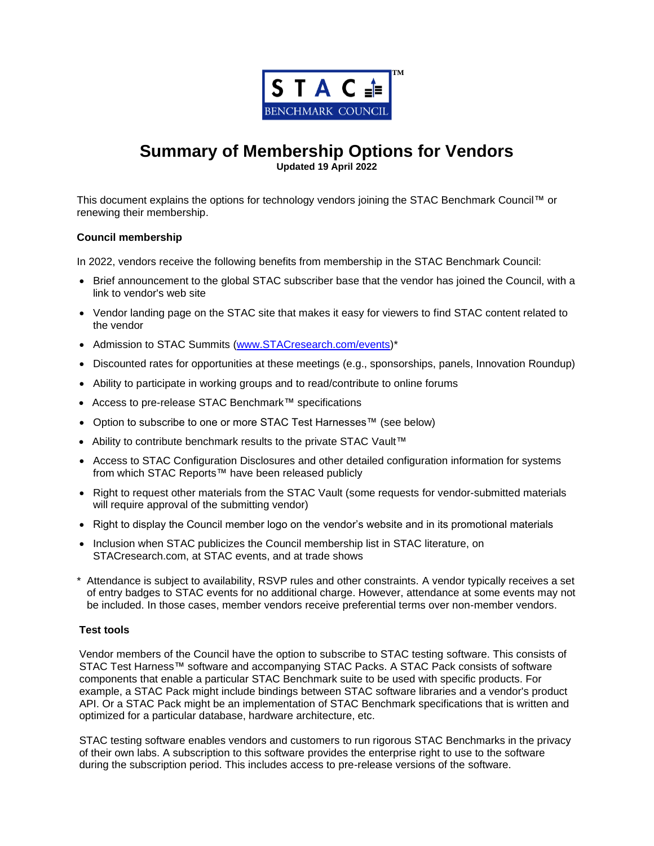

# **Summary of Membership Options for Vendors**

**Updated 19 April 2022**

This document explains the options for technology vendors joining the STAC Benchmark Council™ or renewing their membership.

### **Council membership**

In 2022, vendors receive the following benefits from membership in the STAC Benchmark Council:

- Brief announcement to the global STAC subscriber base that the vendor has joined the Council, with a link to vendor's web site
- Vendor landing page on the STAC site that makes it easy for viewers to find STAC content related to the vendor
- Admission to STAC Summits [\(www.STACresearch.com/events\)](http://www.stacresearch.com/events)\*
- Discounted rates for opportunities at these meetings (e.g., sponsorships, panels, Innovation Roundup)
- Ability to participate in working groups and to read/contribute to online forums
- Access to pre-release STAC Benchmark™ specifications
- Option to subscribe to one or more STAC Test Harnesses™ (see below)
- Ability to contribute benchmark results to the private STAC Vault™
- Access to STAC Configuration Disclosures and other detailed configuration information for systems from which STAC Reports™ have been released publicly
- Right to request other materials from the STAC Vault (some requests for vendor-submitted materials will require approval of the submitting vendor)
- Right to display the Council member logo on the vendor's website and in its promotional materials
- Inclusion when STAC publicizes the Council membership list in STAC literature, on STACresearch.com, at STAC events, and at trade shows
- \* Attendance is subject to availability, RSVP rules and other constraints. A vendor typically receives a set of entry badges to STAC events for no additional charge. However, attendance at some events may not be included. In those cases, member vendors receive preferential terms over non-member vendors.

#### **Test tools**

Vendor members of the Council have the option to subscribe to STAC testing software. This consists of STAC Test Harness™ software and accompanying STAC Packs. A STAC Pack consists of software components that enable a particular STAC Benchmark suite to be used with specific products. For example, a STAC Pack might include bindings between STAC software libraries and a vendor's product API. Or a STAC Pack might be an implementation of STAC Benchmark specifications that is written and optimized for a particular database, hardware architecture, etc.

STAC testing software enables vendors and customers to run rigorous STAC Benchmarks in the privacy of their own labs. A subscription to this software provides the enterprise right to use to the software during the subscription period. This includes access to pre-release versions of the software.